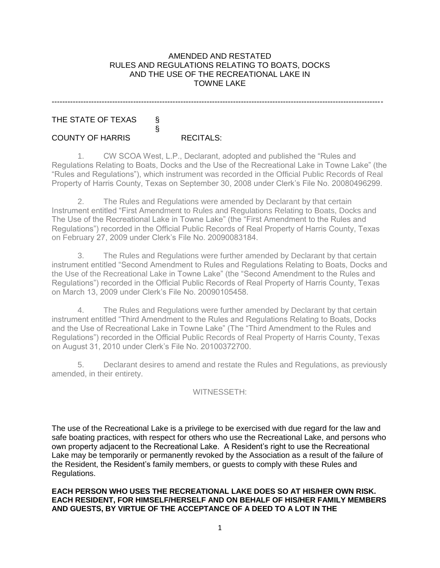#### AMENDED AND RESTATED RULES AND REGULATIONS RELATING TO BOATS, DOCKS AND THE USE OF THE RECREATIONAL LAKE IN TOWNE LAKE

------------------------------------------------------------------------------------------------------------------------------

# THE STATE OF TEXAS §

### COUNTY OF HARRIS RECITALS:

§

1. CW SCOA West, L.P., Declarant, adopted and published the "Rules and Regulations Relating to Boats, Docks and the Use of the Recreational Lake in Towne Lake" (the "Rules and Regulations"), which instrument was recorded in the Official Public Records of Real Property of Harris County, Texas on September 30, 2008 under Clerk's File No. 20080496299.

2. The Rules and Regulations were amended by Declarant by that certain Instrument entitled "First Amendment to Rules and Regulations Relating to Boats, Docks and The Use of the Recreational Lake in Towne Lake" (the "First Amendment to the Rules and Regulations") recorded in the Official Public Records of Real Property of Harris County, Texas on February 27, 2009 under Clerk's File No. 20090083184.

3. The Rules and Regulations were further amended by Declarant by that certain instrument entitled "Second Amendment to Rules and Regulations Relating to Boats, Docks and the Use of the Recreational Lake in Towne Lake" (the "Second Amendment to the Rules and Regulations") recorded in the Official Public Records of Real Property of Harris County, Texas on March 13, 2009 under Clerk's File No. 20090105458.

4. The Rules and Regulations were further amended by Declarant by that certain instrument entitled "Third Amendment to the Rules and Regulations Relating to Boats, Docks and the Use of Recreational Lake in Towne Lake" (The "Third Amendment to the Rules and Regulations") recorded in the Official Public Records of Real Property of Harris County, Texas on August 31, 2010 under Clerk's File No. 20100372700.

5. Declarant desires to amend and restate the Rules and Regulations, as previously amended, in their entirety.

### WITNESSETH:

The use of the Recreational Lake is a privilege to be exercised with due regard for the law and safe boating practices, with respect for others who use the Recreational Lake, and persons who own property adjacent to the Recreational Lake. A Resident's right to use the Recreational Lake may be temporarily or permanently revoked by the Association as a result of the failure of the Resident, the Resident's family members, or guests to comply with these Rules and Regulations.

**EACH PERSON WHO USES THE RECREATIONAL LAKE DOES SO AT HIS/HER OWN RISK. EACH RESIDENT, FOR HIMSELF/HERSELF AND ON BEHALF OF HIS/HER FAMILY MEMBERS AND GUESTS, BY VIRTUE OF THE ACCEPTANCE OF A DEED TO A LOT IN THE**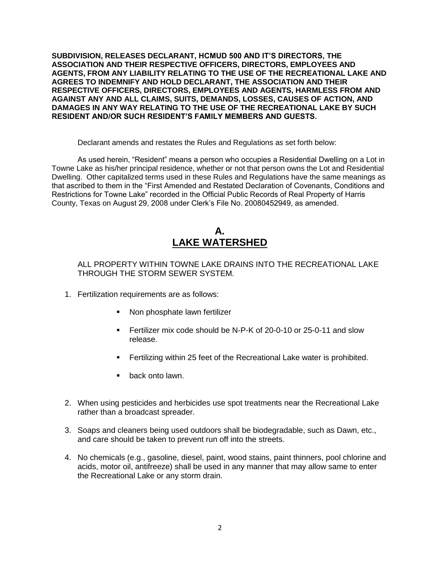**SUBDIVISION, RELEASES DECLARANT, HCMUD 500 AND IT'S DIRECTORS, THE ASSOCIATION AND THEIR RESPECTIVE OFFICERS, DIRECTORS, EMPLOYEES AND AGENTS, FROM ANY LIABILITY RELATING TO THE USE OF THE RECREATIONAL LAKE AND AGREES TO INDEMNIFY AND HOLD DECLARANT, THE ASSOCIATION AND THEIR RESPECTIVE OFFICERS, DIRECTORS, EMPLOYEES AND AGENTS, HARMLESS FROM AND AGAINST ANY AND ALL CLAIMS, SUITS, DEMANDS, LOSSES, CAUSES OF ACTION, AND DAMAGES IN ANY WAY RELATING TO THE USE OF THE RECREATIONAL LAKE BY SUCH RESIDENT AND/OR SUCH RESIDENT'S FAMILY MEMBERS AND GUESTS.**

Declarant amends and restates the Rules and Regulations as set forth below:

As used herein, "Resident" means a person who occupies a Residential Dwelling on a Lot in Towne Lake as his/her principal residence, whether or not that person owns the Lot and Residential Dwelling. Other capitalized terms used in these Rules and Regulations have the same meanings as that ascribed to them in the "First Amended and Restated Declaration of Covenants, Conditions and Restrictions for Towne Lake" recorded in the Official Public Records of Real Property of Harris County, Texas on August 29, 2008 under Clerk's File No. 20080452949, as amended.

## **A. LAKE WATERSHED**

ALL PROPERTY WITHIN TOWNE LAKE DRAINS INTO THE RECREATIONAL LAKE THROUGH THE STORM SEWER SYSTEM.

- 1. Fertilization requirements are as follows:
	- Non phosphate lawn fertilizer
	- Fertilizer mix code should be N-P-K of 20-0-10 or 25-0-11 and slow release.
	- Fertilizing within 25 feet of the Recreational Lake water is prohibited.
	- **•** back onto lawn.
- 2. When using pesticides and herbicides use spot treatments near the Recreational Lake rather than a broadcast spreader.
- 3. Soaps and cleaners being used outdoors shall be biodegradable, such as Dawn, etc., and care should be taken to prevent run off into the streets.
- 4. No chemicals (e.g., gasoline, diesel, paint, wood stains, paint thinners, pool chlorine and acids, motor oil, antifreeze) shall be used in any manner that may allow same to enter the Recreational Lake or any storm drain.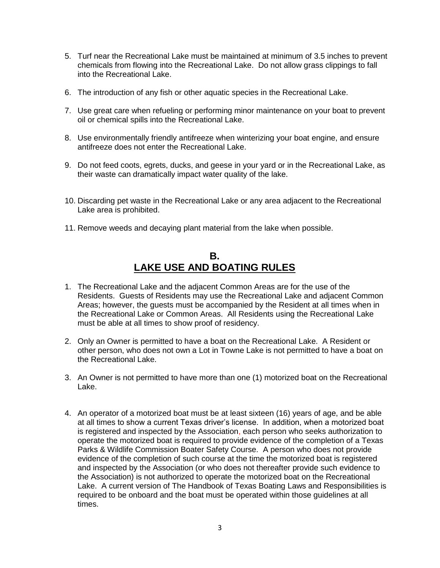- 5. Turf near the Recreational Lake must be maintained at minimum of 3.5 inches to prevent chemicals from flowing into the Recreational Lake. Do not allow grass clippings to fall into the Recreational Lake.
- 6. The introduction of any fish or other aquatic species in the Recreational Lake.
- 7. Use great care when refueling or performing minor maintenance on your boat to prevent oil or chemical spills into the Recreational Lake.
- 8. Use environmentally friendly antifreeze when winterizing your boat engine, and ensure antifreeze does not enter the Recreational Lake.
- 9. Do not feed coots, egrets, ducks, and geese in your yard or in the Recreational Lake, as their waste can dramatically impact water quality of the lake.
- 10. Discarding pet waste in the Recreational Lake or any area adjacent to the Recreational Lake area is prohibited.
- 11. Remove weeds and decaying plant material from the lake when possible.

## **B. LAKE USE AND BOATING RULES**

- 1. The Recreational Lake and the adjacent Common Areas are for the use of the Residents. Guests of Residents may use the Recreational Lake and adjacent Common Areas; however, the guests must be accompanied by the Resident at all times when in the Recreational Lake or Common Areas. All Residents using the Recreational Lake must be able at all times to show proof of residency.
- 2. Only an Owner is permitted to have a boat on the Recreational Lake. A Resident or other person, who does not own a Lot in Towne Lake is not permitted to have a boat on the Recreational Lake.
- 3. An Owner is not permitted to have more than one (1) motorized boat on the Recreational Lake.
- 4. An operator of a motorized boat must be at least sixteen (16) years of age, and be able at all times to show a current Texas driver's license. In addition, when a motorized boat is registered and inspected by the Association, each person who seeks authorization to operate the motorized boat is required to provide evidence of the completion of a Texas Parks & Wildlife Commission Boater Safety Course. A person who does not provide evidence of the completion of such course at the time the motorized boat is registered and inspected by the Association (or who does not thereafter provide such evidence to the Association) is not authorized to operate the motorized boat on the Recreational Lake. A current version of The Handbook of Texas Boating Laws and Responsibilities is required to be onboard and the boat must be operated within those guidelines at all times.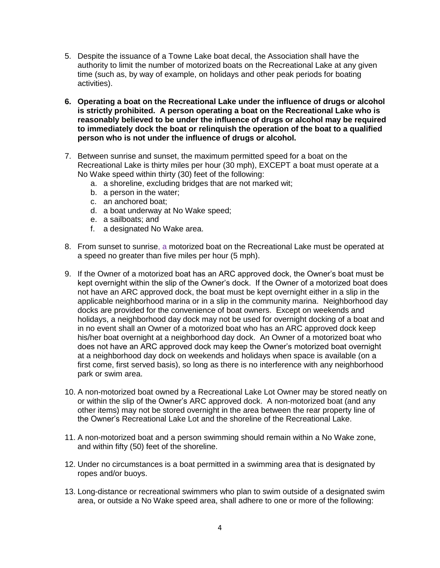- 5. Despite the issuance of a Towne Lake boat decal, the Association shall have the authority to limit the number of motorized boats on the Recreational Lake at any given time (such as, by way of example, on holidays and other peak periods for boating activities).
- **6. Operating a boat on the Recreational Lake under the influence of drugs or alcohol is strictly prohibited. A person operating a boat on the Recreational Lake who is reasonably believed to be under the influence of drugs or alcohol may be required to immediately dock the boat or relinquish the operation of the boat to a qualified person who is not under the influence of drugs or alcohol.**
- 7. Between sunrise and sunset, the maximum permitted speed for a boat on the Recreational Lake is thirty miles per hour (30 mph), EXCEPT a boat must operate at a No Wake speed within thirty (30) feet of the following:
	- a. a shoreline, excluding bridges that are not marked wit;
	- b. a person in the water;
	- c. an anchored boat;
	- d. a boat underway at No Wake speed;
	- e. a sailboats; and
	- f. a designated No Wake area.
- 8. From sunset to sunrise, a motorized boat on the Recreational Lake must be operated at a speed no greater than five miles per hour (5 mph).
- 9. If the Owner of a motorized boat has an ARC approved dock, the Owner's boat must be kept overnight within the slip of the Owner's dock. If the Owner of a motorized boat does not have an ARC approved dock, the boat must be kept overnight either in a slip in the applicable neighborhood marina or in a slip in the community marina. Neighborhood day docks are provided for the convenience of boat owners. Except on weekends and holidays, a neighborhood day dock may not be used for overnight docking of a boat and in no event shall an Owner of a motorized boat who has an ARC approved dock keep his/her boat overnight at a neighborhood day dock. An Owner of a motorized boat who does not have an ARC approved dock may keep the Owner's motorized boat overnight at a neighborhood day dock on weekends and holidays when space is available (on a first come, first served basis), so long as there is no interference with any neighborhood park or swim area.
- 10. A non-motorized boat owned by a Recreational Lake Lot Owner may be stored neatly on or within the slip of the Owner's ARC approved dock. A non-motorized boat (and any other items) may not be stored overnight in the area between the rear property line of the Owner's Recreational Lake Lot and the shoreline of the Recreational Lake.
- 11. A non-motorized boat and a person swimming should remain within a No Wake zone, and within fifty (50) feet of the shoreline.
- 12. Under no circumstances is a boat permitted in a swimming area that is designated by ropes and/or buoys.
- 13. Long-distance or recreational swimmers who plan to swim outside of a designated swim area, or outside a No Wake speed area, shall adhere to one or more of the following: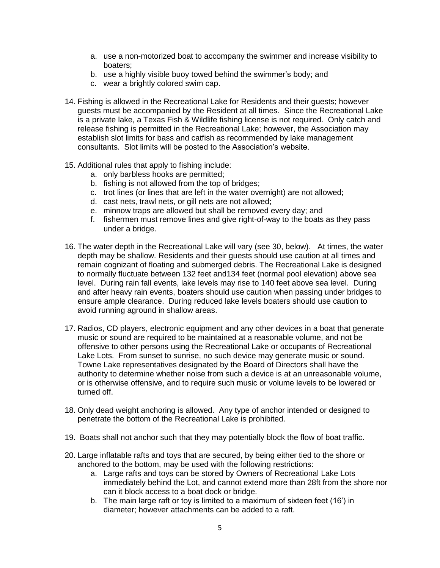- a. use a non-motorized boat to accompany the swimmer and increase visibility to boaters;
- b. use a highly visible buoy towed behind the swimmer's body; and
- c. wear a brightly colored swim cap.
- 14. Fishing is allowed in the Recreational Lake for Residents and their guests; however guests must be accompanied by the Resident at all times. Since the Recreational Lake is a private lake, a Texas Fish & Wildlife fishing license is not required. Only catch and release fishing is permitted in the Recreational Lake; however, the Association may establish slot limits for bass and catfish as recommended by lake management consultants. Slot limits will be posted to the Association's website.
- 15. Additional rules that apply to fishing include:
	- a. only barbless hooks are permitted;
	- b. fishing is not allowed from the top of bridges;
	- c. trot lines (or lines that are left in the water overnight) are not allowed;
	- d. cast nets, trawl nets, or gill nets are not allowed;
	- e. minnow traps are allowed but shall be removed every day; and
	- f. fishermen must remove lines and give right-of-way to the boats as they pass under a bridge.
- 16. The water depth in the Recreational Lake will vary (see 30, below). At times, the water depth may be shallow. Residents and their guests should use caution at all times and remain cognizant of floating and submerged debris. The Recreational Lake is designed to normally fluctuate between 132 feet and134 feet (normal pool elevation) above sea level. During rain fall events, lake levels may rise to 140 feet above sea level. During and after heavy rain events, boaters should use caution when passing under bridges to ensure ample clearance. During reduced lake levels boaters should use caution to avoid running aground in shallow areas.
- 17. Radios, CD players, electronic equipment and any other devices in a boat that generate music or sound are required to be maintained at a reasonable volume, and not be offensive to other persons using the Recreational Lake or occupants of Recreational Lake Lots. From sunset to sunrise, no such device may generate music or sound. Towne Lake representatives designated by the Board of Directors shall have the authority to determine whether noise from such a device is at an unreasonable volume, or is otherwise offensive, and to require such music or volume levels to be lowered or turned off.
- 18. Only dead weight anchoring is allowed. Any type of anchor intended or designed to penetrate the bottom of the Recreational Lake is prohibited.
- 19. Boats shall not anchor such that they may potentially block the flow of boat traffic.
- 20. Large inflatable rafts and toys that are secured, by being either tied to the shore or anchored to the bottom, may be used with the following restrictions:
	- a. Large rafts and toys can be stored by Owners of Recreational Lake Lots immediately behind the Lot, and cannot extend more than 28ft from the shore nor can it block access to a boat dock or bridge.
	- b. The main large raft or toy is limited to a maximum of sixteen feet (16') in diameter; however attachments can be added to a raft.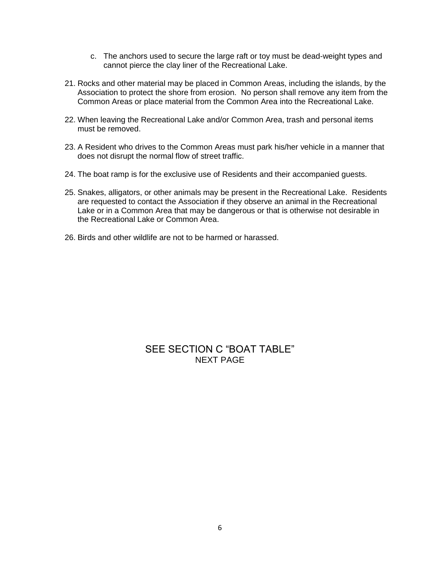- c. The anchors used to secure the large raft or toy must be dead-weight types and cannot pierce the clay liner of the Recreational Lake.
- 21. Rocks and other material may be placed in Common Areas, including the islands, by the Association to protect the shore from erosion. No person shall remove any item from the Common Areas or place material from the Common Area into the Recreational Lake.
- 22. When leaving the Recreational Lake and/or Common Area, trash and personal items must be removed.
- 23. A Resident who drives to the Common Areas must park his/her vehicle in a manner that does not disrupt the normal flow of street traffic.
- 24. The boat ramp is for the exclusive use of Residents and their accompanied guests.
- 25. Snakes, alligators, or other animals may be present in the Recreational Lake. Residents are requested to contact the Association if they observe an animal in the Recreational Lake or in a Common Area that may be dangerous or that is otherwise not desirable in the Recreational Lake or Common Area.
- 26. Birds and other wildlife are not to be harmed or harassed.

### SEE SECTION C "BOAT TABLE" NEXT PAGE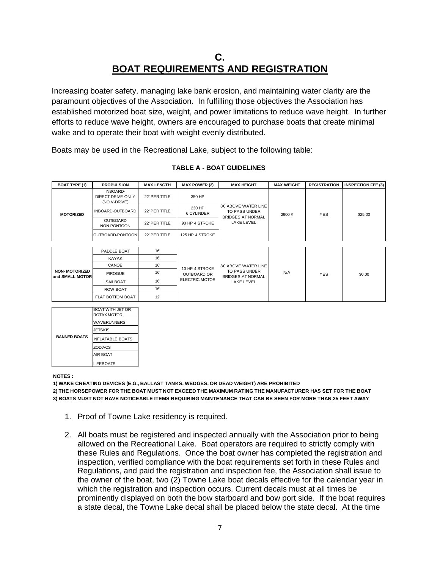# **C. BOAT REQUIREMENTS AND REGISTRATION**

Increasing boater safety, managing lake bank erosion, and maintaining water clarity are the paramount objectives of the Association. In fulfilling those objectives the Association has established motorized boat size, weight, and power limitations to reduce wave height. In further efforts to reduce wave height, owners are encouraged to purchase boats that create minimal wake and to operate their boat with weight evenly distributed.

Boats may be used in the Recreational Lake, subject to the following table:

| <b>BOAT TYPE (1)</b> | <b>PROPULSION</b>                             | <b>MAX LENGTH</b> | <b>MAX POWER (2)</b> | <b>MAX HEIGHT</b>                                                               | <b>MAX WEIGHT</b> | <b>REGISTRATION</b> | <b>INSPECTION FEE (3)</b> |
|----------------------|-----------------------------------------------|-------------------|----------------------|---------------------------------------------------------------------------------|-------------------|---------------------|---------------------------|
| MOTORIZED            | INBOARD-<br>DIRECT DRIVE ONLY<br>(NO V-DRIVE) | 22' PER TITLE     | 350 HP               | 8'0 ABOVE WATER LINE<br>TO PASS UNDER<br><b>BRIDGES AT NORMAL</b><br>LAKE LEVEL | 2900 #            | <b>YES</b>          | \$25.00                   |
|                      | INBOARD-OUTBOARD                              | 22' PER TITLE     | 230 HP<br>6 CYLINDER |                                                                                 |                   |                     |                           |
|                      | <b>OUTBOARD</b><br>NON PONTOON                | 22' PER TITLE     | 90 HP 4 STROKE       |                                                                                 |                   |                     |                           |
|                      | OUTBOARD-PONTOON                              | 22' PER TITLE     | 125 HP 4 STROKE      |                                                                                 |                   |                     |                           |

#### **TABLE A - BOAT GUIDELINES**

| <b>NON- MOTORIZED</b><br>and SMALL MOTOR | PADDLE BOAT      | 16' | 10 HP 4 STROKE<br>OUTBOARD OR<br><b>ELECTRIC MOTOR</b> | 8'0 ABOVE WATER LINE<br>TO PASS UNDER<br><b>BRIDGES AT NORMAL</b><br>LAKE LEVEL | <b>N/A</b> | <b>YES</b> | \$0.00 |
|------------------------------------------|------------------|-----|--------------------------------------------------------|---------------------------------------------------------------------------------|------------|------------|--------|
|                                          | <b>KAYAK</b>     | 16' |                                                        |                                                                                 |            |            |        |
|                                          | CANOE            | 16' |                                                        |                                                                                 |            |            |        |
|                                          | <b>PIROGUE</b>   | 16' |                                                        |                                                                                 |            |            |        |
|                                          | SAILBOAT         | 16' |                                                        |                                                                                 |            |            |        |
|                                          | <b>ROW BOAT</b>  | 16' |                                                        |                                                                                 |            |            |        |
|                                          | FLAT BOTTOM BOAT | 12  |                                                        |                                                                                 |            |            |        |

|                     | BOAT WITH JET OR<br><b>ROTAX MOTOR</b> |  |  |
|---------------------|----------------------------------------|--|--|
|                     | WAVERUNNERS                            |  |  |
|                     | <b>JETSKIS</b>                         |  |  |
| <b>BANNED BOATS</b> | <b>INFLATABLE BOATS</b>                |  |  |
|                     | <b>ZODIACS</b>                         |  |  |
|                     | <b>AIR BOAT</b>                        |  |  |
|                     | <b>LIFEBOATS</b>                       |  |  |

**NOTES :**

**2) THE HORSEPOWER FOR THE BOAT MUST NOT EXCEED THE MAXIMUM RATING THE MANUFACTURER HAS SET FOR THE BOAT 1) WAKE CREATING DEVICES (E.G., BALLAST TANKS, WEDGES, OR DEAD WEIGHT) ARE PROHIBITED 3) BOATS MUST NOT HAVE NOTICEABLE ITEMS REQUIRING MAINTENANCE THAT CAN BE SEEN FOR MORE THAN 25 FEET AWAY**

- 1. Proof of Towne Lake residency is required.
- 2. All boats must be registered and inspected annually with the Association prior to being allowed on the Recreational Lake. Boat operators are required to strictly comply with these Rules and Regulations. Once the boat owner has completed the registration and inspection, verified compliance with the boat requirements set forth in these Rules and Regulations, and paid the registration and inspection fee, the Association shall issue to the owner of the boat, two (2) Towne Lake boat decals effective for the calendar year in which the registration and inspection occurs. Current decals must at all times be prominently displayed on both the bow starboard and bow port side. If the boat requires a state decal, the Towne Lake decal shall be placed below the state decal. At the time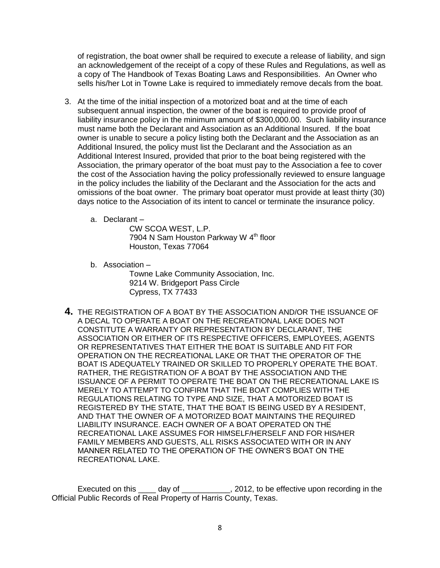of registration, the boat owner shall be required to execute a release of liability, and sign an acknowledgement of the receipt of a copy of these Rules and Regulations, as well as a copy of The Handbook of Texas Boating Laws and Responsibilities. An Owner who sells his/her Lot in Towne Lake is required to immediately remove decals from the boat.

- 3. At the time of the initial inspection of a motorized boat and at the time of each subsequent annual inspection, the owner of the boat is required to provide proof of liability insurance policy in the minimum amount of \$300,000.00. Such liability insurance must name both the Declarant and Association as an Additional Insured. If the boat owner is unable to secure a policy listing both the Declarant and the Association as an Additional Insured, the policy must list the Declarant and the Association as an Additional Interest Insured, provided that prior to the boat being registered with the Association, the primary operator of the boat must pay to the Association a fee to cover the cost of the Association having the policy professionally reviewed to ensure language in the policy includes the liability of the Declarant and the Association for the acts and omissions of the boat owner. The primary boat operator must provide at least thirty (30) days notice to the Association of its intent to cancel or terminate the insurance policy.
	- a. Declarant –

CW SCOA WEST, L.P. 7904 N Sam Houston Parkway W 4<sup>th</sup> floor Houston, Texas 77064

- b. Association Towne Lake Community Association, Inc. 9214 W. Bridgeport Pass Circle Cypress, TX 77433
- **4.** THE REGISTRATION OF A BOAT BY THE ASSOCIATION AND/OR THE ISSUANCE OF A DECAL TO OPERATE A BOAT ON THE RECREATIONAL LAKE DOES NOT CONSTITUTE A WARRANTY OR REPRESENTATION BY DECLARANT, THE ASSOCIATION OR EITHER OF ITS RESPECTIVE OFFICERS, EMPLOYEES, AGENTS OR REPRESENTATIVES THAT EITHER THE BOAT IS SUITABLE AND FIT FOR OPERATION ON THE RECREATIONAL LAKE OR THAT THE OPERATOR OF THE BOAT IS ADEQUATELY TRAINED OR SKILLED TO PROPERLY OPERATE THE BOAT. RATHER, THE REGISTRATION OF A BOAT BY THE ASSOCIATION AND THE ISSUANCE OF A PERMIT TO OPERATE THE BOAT ON THE RECREATIONAL LAKE IS MERELY TO ATTEMPT TO CONFIRM THAT THE BOAT COMPLIES WITH THE REGULATIONS RELATING TO TYPE AND SIZE, THAT A MOTORIZED BOAT IS REGISTERED BY THE STATE, THAT THE BOAT IS BEING USED BY A RESIDENT, AND THAT THE OWNER OF A MOTORIZED BOAT MAINTAINS THE REQUIRED LIABILITY INSURANCE. EACH OWNER OF A BOAT OPERATED ON THE RECREATIONAL LAKE ASSUMES FOR HIMSELF/HERSELF AND FOR HIS/HER FAMILY MEMBERS AND GUESTS, ALL RISKS ASSOCIATED WITH OR IN ANY MANNER RELATED TO THE OPERATION OF THE OWNER'S BOAT ON THE RECREATIONAL LAKE.

Executed on this \_\_\_\_ day of \_\_\_\_\_\_\_\_\_\_, 2012, to be effective upon recording in the Official Public Records of Real Property of Harris County, Texas.